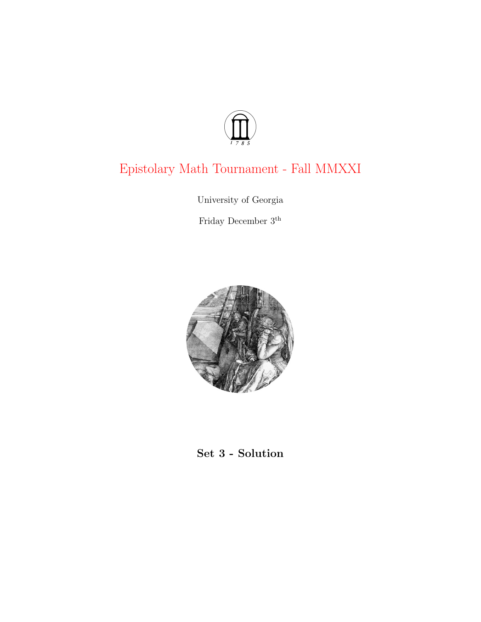

# Epistolary Math Tournament - Fall MMXXI

University of Georgia

Friday December $3^{\rm th}$ 



## Set 3 - Solution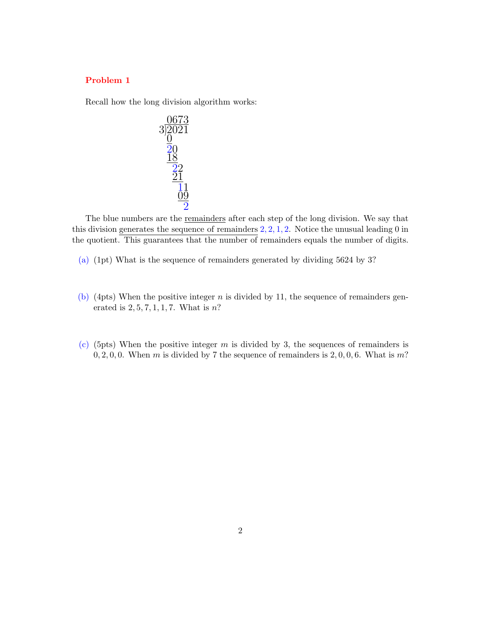### Problem 1

Recall how the long division algorithm works:



The blue numbers are the remainders after each step of the long division. We say that this division generates the sequence of remainders  $2, 2, 1, 2$ . Notice the unusual leading 0 in the quotient. This guarantees that the number of remainders equals the number of digits.

- (a) (1pt) What is the sequence of remainders generated by dividing 5624 by 3?
- (b) (4pts) When the positive integer  $n$  is divided by 11, the sequence of remainders generated is  $2, 5, 7, 1, 1, 7$ . What is n?
- (c) (5pts) When the positive integer  $m$  is divided by 3, the sequences of remainders is  $0, 2, 0, 0$ . When m is divided by 7 the sequence of remainders is  $2, 0, 0, 6$ . What is m?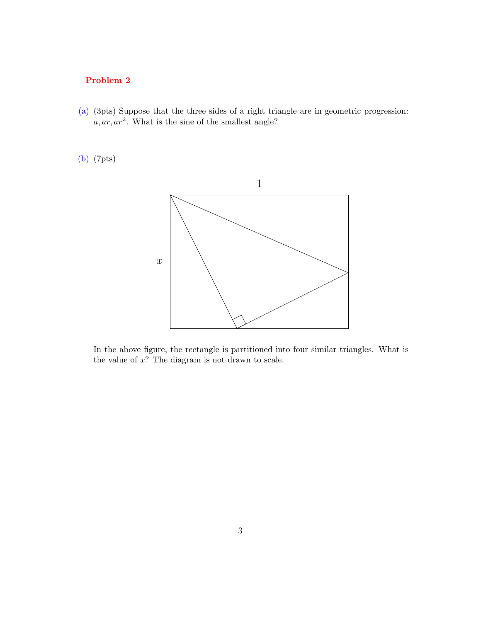## Problem 2

(a) (3pts) Suppose that the three sides of a right triangle are in geometric progression:  $a, ar, ar<sup>2</sup>$ . What is the sine of the smallest angle?

## (b) (7pts)



In the above figure, the rectangle is partitioned into four similar triangles. What is the value of  $x$ ? The diagram is not drawn to scale.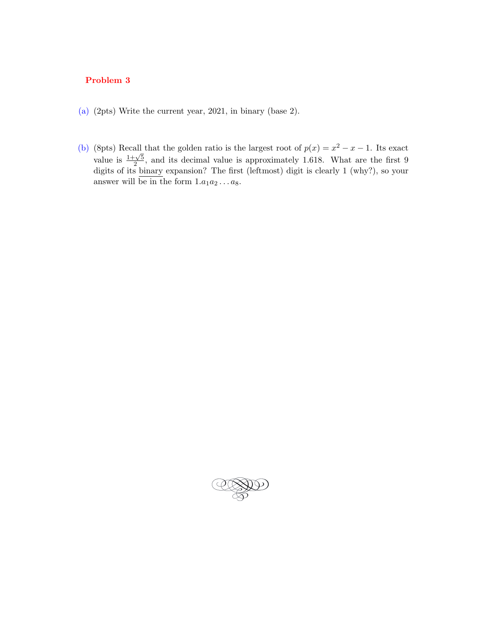## Problem 3

- (a) (2pts) Write the current year, 2021, in binary (base 2).
- (b) (8pts) Recall that the golden ratio is the largest root of  $p(x) = x^2 x 1$ . Its exact value is  $\frac{1+\sqrt{5}}{2}$  $\frac{2\sqrt{5}}{2}$ , and its decimal value is approximately 1.618. What are the first 9 digits of its binary expansion? The first (leftmost) digit is clearly 1 (why?), so your answer will be in the form  $1.a_1a_2...a_8$ .

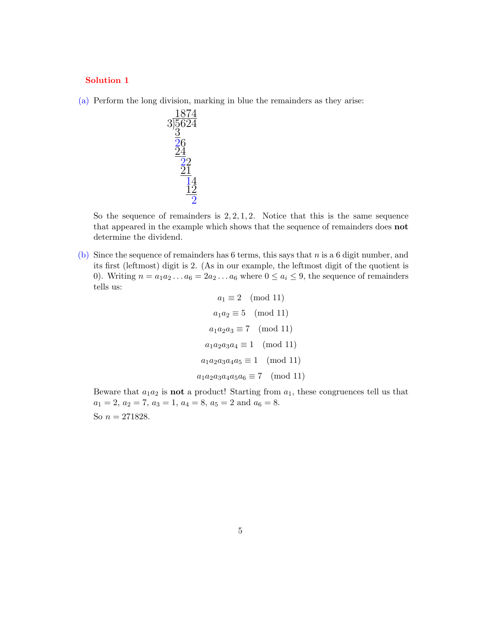#### Solution 1

(a) Perform the long division, marking in blue the remainders as they arise:



So the sequence of remainders is  $2, 2, 1, 2$ . Notice that this is the same sequence that appeared in the example which shows that the sequence of remainders does not determine the dividend.

(b) Since the sequence of remainders has 6 terms, this says that n is a 6 digit number, and its first (leftmost) digit is 2. (As in our example, the leftmost digit of the quotient is 0). Writing  $n = a_1 a_2 \dots a_6 = 2a_2 \dots a_6$  where  $0 \le a_i \le 9$ , the sequence of remainders tells us:

> $a_1 \equiv 2 \pmod{11}$  $a_1a_2 \equiv 5 \pmod{11}$  $a_1a_2a_3 \equiv 7 \pmod{11}$  $a_1 a_2 a_3 a_4 \equiv 1 \pmod{11}$  $a_1 a_2 a_3 a_4 a_5 \equiv 1 \pmod{11}$  $a_1a_2a_3a_4a_5a_6 \equiv 7 \pmod{11}$

Beware that  $a_1a_2$  is **not** a product! Starting from  $a_1$ , these congruences tell us that  $a_1 = 2, a_2 = 7, a_3 = 1, a_4 = 8, a_5 = 2 \text{ and } a_6 = 8.$ 

So  $n = 271828$ .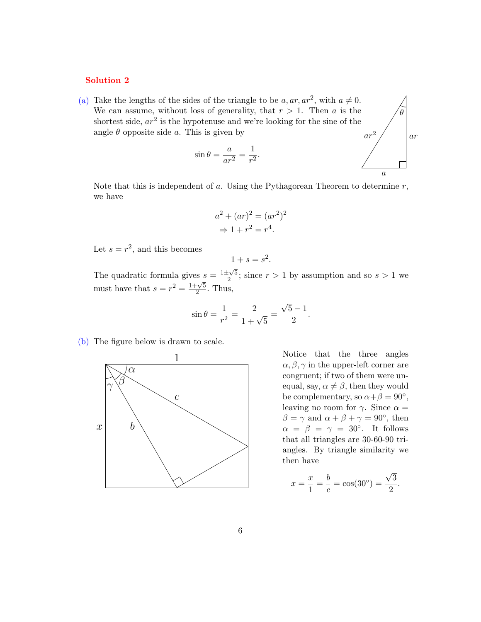#### Solution 2

(a) Take the lengths of the sides of the triangle to be  $a, ar, ar^2$ , with  $a \neq 0$ . We can assume, without loss of generality, that  $r > 1$ . Then a is the shortest side,  $ar^2$  is the hypotenuse and we're looking for the sine of the angle  $\theta$  opposite side a. This is given by  $ar^2$ 

$$
\sin \theta = \frac{a}{ar^2} = \frac{1}{r^2}.
$$

θ

ar

Note that this is independent of a. Using the Pythagorean Theorem to determine  $r$ , we have

$$
a2 + (ar)2 = (ar2)2
$$
  
\n
$$
\Rightarrow 1 + r2 = r4.
$$

Let  $s = r^2$ , and this becomes

$$
1+s=s^2.
$$

The quadratic formula gives  $s = \frac{1 \pm \sqrt{5}}{2}$  $\frac{2 \times 5}{2}$ ; since  $r > 1$  by assumption and so  $s > 1$  we must have that  $s = r^2 = \frac{1+\sqrt{5}}{2}$  $\frac{\sqrt{5}}{2}$ . Thus,

$$
\sin \theta = \frac{1}{r^2} = \frac{2}{1 + \sqrt{5}} = \frac{\sqrt{5} - 1}{2}.
$$

(b) The figure below is drawn to scale.



Notice that the three angles  $\alpha, \beta, \gamma$  in the upper-left corner are congruent; if two of them were unequal, say,  $\alpha \neq \beta$ , then they would be complementary, so  $\alpha + \beta = 90^{\circ}$ , leaving no room for  $\gamma$ . Since  $\alpha =$  $\beta = \gamma$  and  $\alpha + \beta + \gamma = 90^{\circ}$ , then  $\alpha = \beta = \gamma = 30^{\circ}$ . It follows that all triangles are 30-60-90 triangles. By triangle similarity we then have

$$
x = \frac{x}{1} = \frac{b}{c} = \cos(30^{\circ}) = \frac{\sqrt{3}}{2}.
$$